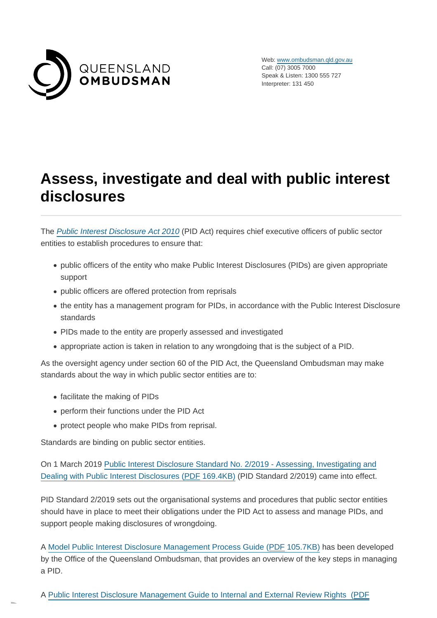

Web: [www.ombudsman.qld.gov.au](https://www.ombudsman.qld.gov.au/) Call: (07) 3005 7000 Speak & Listen: 1300 555 727 Interpreter: 131 450

# **Assess, investigate and deal with public interest disclosures**

The [Public Interest Disclosure Act 2010](https://www.ombudsman.qld.gov.au/what-we-do/role-of-the-ombudsman/legislation-and-standard/legislation-and-standard) (PID Act) requires chief executive officers of public sector entities to establish procedures to ensure that:

- public officers of the entity who make Public Interest Disclosures (PIDs) are given appropriate support
- public officers are offered protection from reprisals
- the entity has a management program for PIDs, in accordance with the Public Interest Disclosure standards
- PIDs made to the entity are properly assessed and investigated
- appropriate action is taken in relation to any wrongdoing that is the subject of a PID.

As the oversight agency under section 60 of the PID Act, the Queensland Ombudsman may make standards about the way in which public sector entities are to:

- facilitate the making of PIDs
- perform their functions under the PID Act
- protect people who make PIDs from reprisal.

Standards are binding on public sector entities.

On 1 March 2019 [Public Interest Disclosure Standard No. 2/2019 - Assessing, Investigating and](https://www.ombudsman.qld.gov.au/ArticleDocuments/212/PID%20Standard%202-2019%20Dec%202018.pdf.aspx) Dealing with Public Interest Disclosures (PDF 169.4KB) (PID Standard 2/2019) came into effect.

PID Standard 2/2019 sets out the organisational systems and procedures that public sector entities should have in place to meet their obligations under the PID Act to assess and manage PIDs, and support people making disclosures of wrongdoing.

A [Model Public Interest Disclosure Management Process Guide \(PDF](https://www.ombudsman.qld.gov.au/ArticleDocuments/512/Model%20Public%20Interest%20Disclosure%20Management%20Process%20Guide.PDF.aspx) 105.7KB) has been developed by the Office of the Queensland Ombudsman, that provides an overview of the key steps in managing a PID.

A [Public Interest Disclosure Management Guide to Internal and External Review Rights \(PDF](https://www.ombudsman.qld.gov.au/ArticleDocuments/512/Model%20Public%20Interest%20Disclosure%20Management%20Guide%20to%20Internal%20and%20External%20Review%20Rights.PDF.aspx)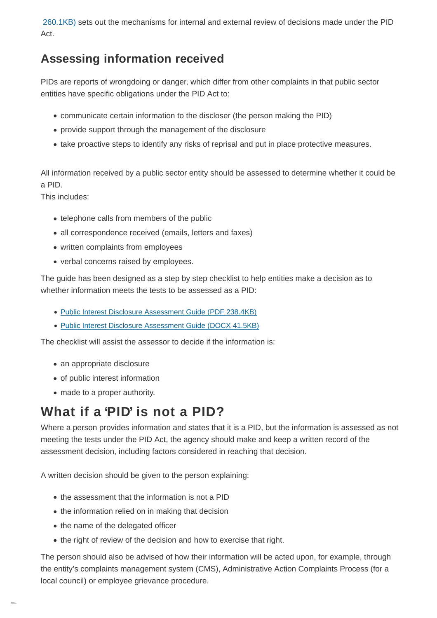[260.1KB\)](https://www.ombudsman.qld.gov.au/ArticleDocuments/512/Model%20Public%20Interest%20Disclosure%20Management%20Guide%20to%20Internal%20and%20External%20Review%20Rights.PDF.aspx) sets out the mechanisms for internal and external review of decisions made under the PID Act.

#### **Assessing information received**

PIDs are reports of wrongdoing or danger, which differ from other complaints in that public sector entities have specific obligations under the PID Act to:

- communicate certain information to the discloser (the person making the PID)
- provide support through the management of the disclosure
- take proactive steps to identify any risks of reprisal and put in place protective measures.

All information received by a public sector entity should be assessed to determine whether it could be a PID.

This includes:

- telephone calls from members of the public
- all correspondence received (emails, letters and faxes)
- written complaints from employees
- verbal concerns raised by employees.

The guide has been designed as a step by step checklist to help entities make a decision as to whether information meets the tests to be assessed as a PID:

- [Public Interest Disclosure Assessment Guide \(PDF](https://www.ombudsman.qld.gov.au/ArticleDocuments/422/PID_Assessment_Guide_January_2019.PDF.aspx) 238.4KB)
- [Public Interest Disclosure Assessment Guide \(DOCX](https://www.ombudsman.qld.gov.au/ArticleDocuments/422/PID%20Assessment%20Guide%20January%202019.docx.aspx) 41.5KB)

The checklist will assist the assessor to decide if the information is:

- an appropriate disclosure
- of public interest information
- made to a proper authority.

### **What if a 'PID' is not a PID?**

Where a person provides information and states that it is a PID, but the information is assessed as not meeting the tests under the PID Act, the agency should make and keep a written record of the assessment decision, including factors considered in reaching that decision.

A written decision should be given to the person explaining:

- the assessment that the information is not a PID
- the information relied on in making that decision
- the name of the delegated officer
- the right of review of the decision and how to exercise that right.

The person should also be advised of how their information will be acted upon, for example, through the entity's complaints management system (CMS), Administrative Action Complaints Process (for a local council) or employee grievance procedure.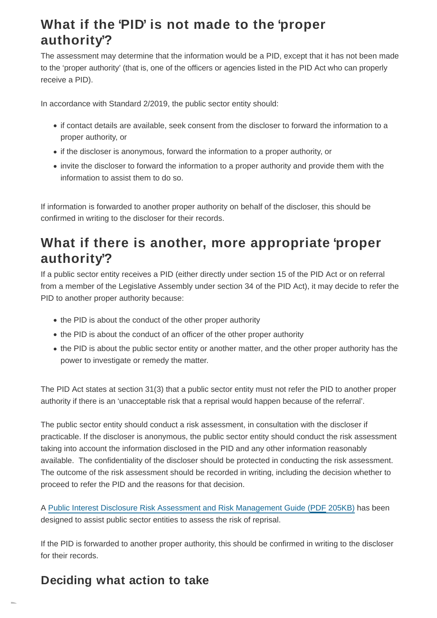## **What if the 'PID' is not made to the 'proper authority'?**

The assessment may determine that the information would be a PID, except that it has not been made to the 'proper authority' (that is, one of the officers or agencies listed in the PID Act who can properly receive a PID).

In accordance with Standard 2/2019, the public sector entity should:

- if contact details are available, seek consent from the discloser to forward the information to a proper authority, or
- if the discloser is anonymous, forward the information to a proper authority, or
- invite the discloser to forward the information to a proper authority and provide them with the information to assist them to do so.

If information is forwarded to another proper authority on behalf of the discloser, this should be confirmed in writing to the discloser for their records.

## **What if there is another, more appropriate 'proper authority'?**

If a public sector entity receives a PID (either directly under section 15 of the PID Act or on referral from a member of the Legislative Assembly under section 34 of the PID Act), it may decide to refer the PID to another proper authority because:

- the PID is about the conduct of the other proper authority
- the PID is about the conduct of an officer of the other proper authority
- the PID is about the public sector entity or another matter, and the other proper authority has the power to investigate or remedy the matter.

The PID Act states at section 31(3) that a public sector entity must not refer the PID to another proper authority if there is an 'unacceptable risk that a reprisal would happen because of the referral'.

The public sector entity should conduct a risk assessment, in consultation with the discloser if practicable. If the discloser is anonymous, the public sector entity should conduct the risk assessment taking into account the information disclosed in the PID and any other information reasonably available. The confidentiality of the discloser should be protected in conducting the risk assessment. The outcome of the risk assessment should be recorded in writing, including the decision whether to proceed to refer the PID and the reasons for that decision.

A [Public Interest Disclosure Risk Assessment and Risk Management Guide \(PDF](https://www.ombudsman.qld.gov.au/ArticleDocuments/422/PID_Risk_Assessment_and_Risk_Management_Guide_January_2019.PDF.aspx) 205KB) has been designed to assist public sector entities to assess the risk of reprisal.

If the PID is forwarded to another proper authority, this should be confirmed in writing to the discloser for their records.

### **Deciding what action to take**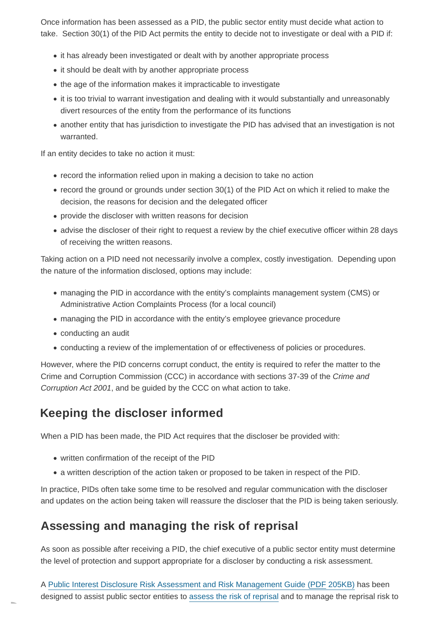Once information has been assessed as a PID, the public sector entity must decide what action to take. Section 30(1) of the PID Act permits the entity to decide not to investigate or deal with a PID if:

- it has already been investigated or dealt with by another appropriate process
- it should be dealt with by another appropriate process
- the age of the information makes it impracticable to investigate
- it is too trivial to warrant investigation and dealing with it would substantially and unreasonably divert resources of the entity from the performance of its functions
- another entity that has jurisdiction to investigate the PID has advised that an investigation is not warranted.

If an entity decides to take no action it must:

- record the information relied upon in making a decision to take no action
- record the ground or grounds under section 30(1) of the PID Act on which it relied to make the decision, the reasons for decision and the delegated officer
- provide the discloser with written reasons for decision
- advise the discloser of their right to request a review by the chief executive officer within 28 days of receiving the written reasons.

Taking action on a PID need not necessarily involve a complex, costly investigation. Depending upon the nature of the information disclosed, options may include:

- managing the PID in accordance with the entity's complaints management system (CMS) or Administrative Action Complaints Process (for a local council)
- managing the PID in accordance with the entity's employee grievance procedure
- conducting an audit
- conducting a review of the implementation of or effectiveness of policies or procedures.

However, where the PID concerns corrupt conduct, the entity is required to refer the matter to the Crime and Corruption Commission (CCC) in accordance with sections 37-39 of the Crime and Corruption Act 2001, and be guided by the CCC on what action to take.

### **Keeping the discloser informed**

When a PID has been made, the PID Act requires that the discloser be provided with:

- written confirmation of the receipt of the PID
- a written description of the action taken or proposed to be taken in respect of the PID.

In practice, PIDs often take some time to be resolved and regular communication with the discloser and updates on the action being taken will reassure the discloser that the PID is being taken seriously.

### **Assessing and managing the risk of reprisal**

As soon as possible after receiving a PID, the chief executive of a public sector entity must determine the level of protection and support appropriate for a discloser by conducting a risk assessment.

A [Public Interest Disclosure Risk Assessment and Risk Management Guide \(PDF](https://www.ombudsman.qld.gov.au/ArticleDocuments/422/PID_Risk_Assessment_and_Risk_Management_Guide_January_2019.PDF.aspx) 205KB) has been designed to assist public sector entities to [assess the risk of reprisal](https://www.ombudsman.qld.gov.au/improve-public-administration/public-interest-disclosures/public-interest-disclosure-resources/public-interest-disclosure-assessment-resources) and to manage the reprisal risk to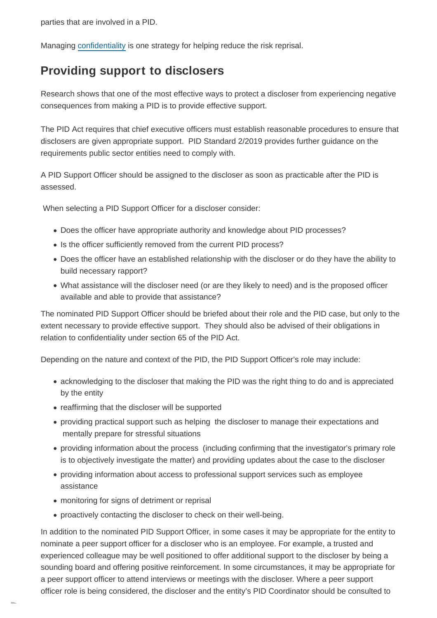parties that are involved in a PID.

Managing [confidentiality](https://www.ombudsman.qld.gov.au/improve-public-administration/public-interest-disclosures/what-are-an-agency-s-public-interest-disclosure-obligations/record-and-report-public-interest-disclosures) is one strategy for helping reduce the risk reprisal.

#### **Providing support to disclosers**

Research shows that one of the most effective ways to protect a discloser from experiencing negative consequences from making a PID is to provide effective support.

The PID Act requires that chief executive officers must establish reasonable procedures to ensure that disclosers are given appropriate support. PID Standard 2/2019 provides further guidance on the requirements public sector entities need to comply with.

A PID Support Officer should be assigned to the discloser as soon as practicable after the PID is assessed.

When selecting a PID Support Officer for a discloser consider:

- Does the officer have appropriate authority and knowledge about PID processes?
- Is the officer sufficiently removed from the current PID process?
- Does the officer have an established relationship with the discloser or do they have the ability to build necessary rapport?
- What assistance will the discloser need (or are they likely to need) and is the proposed officer available and able to provide that assistance?

The nominated PID Support Officer should be briefed about their role and the PID case, but only to the extent necessary to provide effective support. They should also be advised of their obligations in relation to confidentiality under section 65 of the PID Act.

Depending on the nature and context of the PID, the PID Support Officer's role may include:

- acknowledging to the discloser that making the PID was the right thing to do and is appreciated by the entity
- reaffirming that the discloser will be supported
- providing practical support such as helping the discloser to manage their expectations and mentally prepare for stressful situations
- providing information about the process (including confirming that the investigator's primary role is to objectively investigate the matter) and providing updates about the case to the discloser
- providing information about access to professional support services such as employee assistance
- monitoring for signs of detriment or reprisal
- proactively contacting the discloser to check on their well-being.

In addition to the nominated PID Support Officer, in some cases it may be appropriate for the entity to nominate a peer support officer for a discloser who is an employee. For example, a trusted and experienced colleague may be well positioned to offer additional support to the discloser by being a sounding board and offering positive reinforcement. In some circumstances, it may be appropriate for a peer support officer to attend interviews or meetings with the discloser. Where a peer support officer role is being considered, the discloser and the entity's PID Coordinator should be consulted to